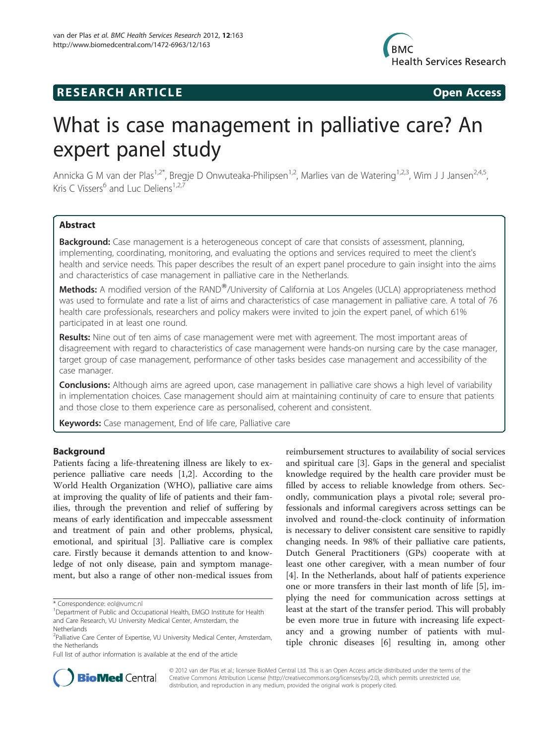

# **RESEARCH ARTICLE Example 2014 CONSIDERING CONSIDERING CONSIDERING CONSIDERING CONSIDERING CONSIDERING CONSIDERING CONSIDERING CONSIDERING CONSIDERING CONSIDERING CONSIDERING CONSIDERING CONSIDERING CONSIDERING CONSIDE**

# What is case management in palliative care? An expert panel study

Annicka G M van der Plas<sup>1,2\*</sup>, Bregie D Onwuteaka-Philipsen<sup>1,2</sup>, Marlies van de Watering<sup>1,2,3</sup>, Wim J J Jansen<sup>2,4,5</sup>, Kris C Vissers<sup>6</sup> and Luc Deliens<sup>1,2,7</sup>

# Abstract

Background: Case management is a heterogeneous concept of care that consists of assessment, planning, implementing, coordinating, monitoring, and evaluating the options and services required to meet the client's health and service needs. This paper describes the result of an expert panel procedure to gain insight into the aims and characteristics of case management in palliative care in the Netherlands.

Methods: A modified version of the RAND®/University of California at Los Angeles (UCLA) appropriateness method was used to formulate and rate a list of aims and characteristics of case management in palliative care. A total of 76 health care professionals, researchers and policy makers were invited to join the expert panel, of which 61% participated in at least one round.

Results: Nine out of ten aims of case management were met with agreement. The most important areas of disagreement with regard to characteristics of case management were hands-on nursing care by the case manager, target group of case management, performance of other tasks besides case management and accessibility of the case manager.

Conclusions: Although aims are agreed upon, case management in palliative care shows a high level of variability in implementation choices. Case management should aim at maintaining continuity of care to ensure that patients and those close to them experience care as personalised, coherent and consistent.

Keywords: Case management, End of life care, Palliative care

#### Background

Patients facing a life-threatening illness are likely to experience palliative care needs [\[1,2\]](#page-6-0). According to the World Health Organization (WHO), palliative care aims at improving the quality of life of patients and their families, through the prevention and relief of suffering by means of early identification and impeccable assessment and treatment of pain and other problems, physical, emotional, and spiritual [[3\]](#page-6-0). Palliative care is complex care. Firstly because it demands attention to and knowledge of not only disease, pain and symptom management, but also a range of other non-medical issues from

Full list of author information is available at the end of the article

reimbursement structures to availability of social services and spiritual care [[3\]](#page-6-0). Gaps in the general and specialist knowledge required by the health care provider must be filled by access to reliable knowledge from others. Secondly, communication plays a pivotal role; several professionals and informal caregivers across settings can be involved and round-the-clock continuity of information is necessary to deliver consistent care sensitive to rapidly changing needs. In 98% of their palliative care patients, Dutch General Practitioners (GPs) cooperate with at least one other caregiver, with a mean number of four [[4\]](#page-6-0). In the Netherlands, about half of patients experience one or more transfers in their last month of life [[5\]](#page-6-0), implying the need for communication across settings at least at the start of the transfer period. This will probably be even more true in future with increasing life expectancy and a growing number of patients with multiple chronic diseases [[6\]](#page-6-0) resulting in, among other



© 2012 van der Plas et al.; licensee BioMed Central Ltd. This is an Open Access article distributed under the terms of the Creative Commons Attribution License [\(http://creativecommons.org/licenses/by/2.0](http://creativecommons.org/licenses/by/2.0)), which permits unrestricted use, distribution, and reproduction in any medium, provided the original work is properly cited.

<sup>\*</sup> Correspondence: [eol@vumc.nl](mailto:eol@vumc.nl) <sup>1</sup>

<sup>&</sup>lt;sup>1</sup>Department of Public and Occupational Health, EMGO Institute for Health and Care Research, VU University Medical Center, Amsterdam, the

**Netherlands** 

<sup>&</sup>lt;sup>2</sup>Palliative Care Center of Expertise, VU University Medical Center, Amsterdam, the Netherlands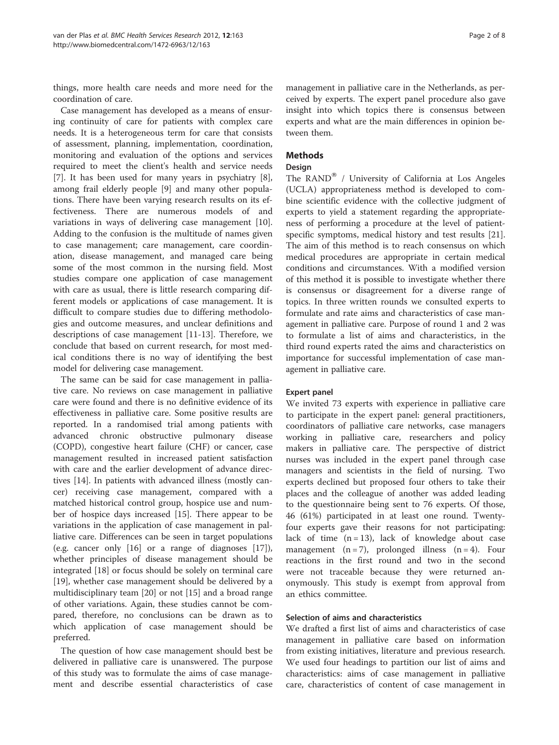things, more health care needs and more need for the coordination of care.

Case management has developed as a means of ensuring continuity of care for patients with complex care needs. It is a heterogeneous term for care that consists of assessment, planning, implementation, coordination, monitoring and evaluation of the options and services required to meet the client's health and service needs [[7\]](#page-6-0). It has been used for many years in psychiatry [\[8](#page-6-0)], among frail elderly people [[9\]](#page-6-0) and many other populations. There have been varying research results on its effectiveness. There are numerous models of and variations in ways of delivering case management [\[10](#page-6-0)]. Adding to the confusion is the multitude of names given to case management; care management, care coordination, disease management, and managed care being some of the most common in the nursing field. Most studies compare one application of case management with care as usual, there is little research comparing different models or applications of case management. It is difficult to compare studies due to differing methodologies and outcome measures, and unclear definitions and descriptions of case management [\[11](#page-6-0)-[13](#page-6-0)]. Therefore, we conclude that based on current research, for most medical conditions there is no way of identifying the best model for delivering case management.

The same can be said for case management in palliative care. No reviews on case management in palliative care were found and there is no definitive evidence of its effectiveness in palliative care. Some positive results are reported. In a randomised trial among patients with advanced chronic obstructive pulmonary disease (COPD), congestive heart failure (CHF) or cancer, case management resulted in increased patient satisfaction with care and the earlier development of advance directives [[14](#page-6-0)]. In patients with advanced illness (mostly cancer) receiving case management, compared with a matched historical control group, hospice use and number of hospice days increased [\[15\]](#page-6-0). There appear to be variations in the application of case management in palliative care. Differences can be seen in target populations (e.g. cancer only [\[16\]](#page-6-0) or a range of diagnoses [\[17](#page-6-0)]), whether principles of disease management should be integrated [[18](#page-6-0)] or focus should be solely on terminal care [[19\]](#page-6-0), whether case management should be delivered by a multidisciplinary team [[20\]](#page-6-0) or not [[15\]](#page-6-0) and a broad range of other variations. Again, these studies cannot be compared, therefore, no conclusions can be drawn as to which application of case management should be preferred.

The question of how case management should best be delivered in palliative care is unanswered. The purpose of this study was to formulate the aims of case management and describe essential characteristics of case

management in palliative care in the Netherlands, as perceived by experts. The expert panel procedure also gave insight into which topics there is consensus between experts and what are the main differences in opinion between them.

# Methods

#### **Design**

The RAND<sup>®</sup> / University of California at Los Angeles (UCLA) appropriateness method is developed to combine scientific evidence with the collective judgment of experts to yield a statement regarding the appropriateness of performing a procedure at the level of patientspecific symptoms, medical history and test results [[21](#page-6-0)]. The aim of this method is to reach consensus on which medical procedures are appropriate in certain medical conditions and circumstances. With a modified version of this method it is possible to investigate whether there is consensus or disagreement for a diverse range of topics. In three written rounds we consulted experts to formulate and rate aims and characteristics of case management in palliative care. Purpose of round 1 and 2 was to formulate a list of aims and characteristics, in the third round experts rated the aims and characteristics on importance for successful implementation of case management in palliative care.

# Expert panel

We invited 73 experts with experience in palliative care to participate in the expert panel: general practitioners, coordinators of palliative care networks, case managers working in palliative care, researchers and policy makers in palliative care. The perspective of district nurses was included in the expert panel through case managers and scientists in the field of nursing. Two experts declined but proposed four others to take their places and the colleague of another was added leading to the questionnaire being sent to 76 experts. Of those, 46 (61%) participated in at least one round. Twentyfour experts gave their reasons for not participating: lack of time  $(n = 13)$ , lack of knowledge about case management  $(n = 7)$ , prolonged illness  $(n = 4)$ . Four reactions in the first round and two in the second were not traceable because they were returned anonymously. This study is exempt from approval from an ethics committee.

## Selection of aims and characteristics

We drafted a first list of aims and characteristics of case management in palliative care based on information from existing initiatives, literature and previous research. We used four headings to partition our list of aims and characteristics: aims of case management in palliative care, characteristics of content of case management in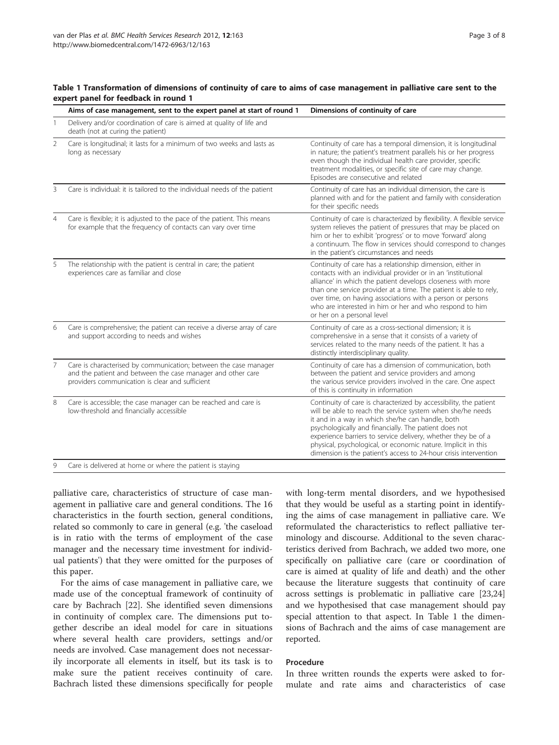| Table 1 Transformation of dimensions of continuity of care to aims of case management in palliative care sent to the |  |  |
|----------------------------------------------------------------------------------------------------------------------|--|--|
| expert panel for feedback in round 1                                                                                 |  |  |

|                | Aims of case management, sent to the expert panel at start of round 1                                                                                                              | Dimensions of continuity of care                                                                                                                                                                                                                                                                                                                                                                                                                   |
|----------------|------------------------------------------------------------------------------------------------------------------------------------------------------------------------------------|----------------------------------------------------------------------------------------------------------------------------------------------------------------------------------------------------------------------------------------------------------------------------------------------------------------------------------------------------------------------------------------------------------------------------------------------------|
| 1              | Delivery and/or coordination of care is aimed at quality of life and<br>death (not at curing the patient)                                                                          |                                                                                                                                                                                                                                                                                                                                                                                                                                                    |
| $\overline{2}$ | Care is longitudinal; it lasts for a minimum of two weeks and lasts as<br>long as necessary                                                                                        | Continuity of care has a temporal dimension, it is longitudinal<br>in nature; the patient's treatment parallels his or her progress<br>even though the individual health care provider, specific<br>treatment modalities, or specific site of care may change.<br>Episodes are consecutive and related                                                                                                                                             |
| 3              | Care is individual: it is tailored to the individual needs of the patient                                                                                                          | Continuity of care has an individual dimension, the care is<br>planned with and for the patient and family with consideration<br>for their specific needs                                                                                                                                                                                                                                                                                          |
| $\overline{4}$ | Care is flexible; it is adjusted to the pace of the patient. This means<br>for example that the frequency of contacts can vary over time                                           | Continuity of care is characterized by flexibility. A flexible service<br>system relieves the patient of pressures that may be placed on<br>him or her to exhibit 'progress' or to move 'forward' along<br>a continuum. The flow in services should correspond to changes<br>in the patient's circumstances and needs                                                                                                                              |
| 5              | The relationship with the patient is central in care; the patient<br>experiences care as familiar and close                                                                        | Continuity of care has a relationship dimension, either in<br>contacts with an individual provider or in an 'institutional<br>alliance' in which the patient develops closeness with more<br>than one service provider at a time. The patient is able to rely,<br>over time, on having associations with a person or persons<br>who are interested in him or her and who respond to him<br>or her on a personal level                              |
| 6              | Care is comprehensive; the patient can receive a diverse array of care<br>and support according to needs and wishes                                                                | Continuity of care as a cross-sectional dimension; it is<br>comprehensive in a sense that it consists of a variety of<br>services related to the many needs of the patient. It has a<br>distinctly interdisciplinary quality.                                                                                                                                                                                                                      |
| $\overline{7}$ | Care is characterised by communication; between the case manager<br>and the patient and between the case manager and other care<br>providers communication is clear and sufficient | Continuity of care has a dimension of communication, both<br>between the patient and service providers and among<br>the various service providers involved in the care. One aspect<br>of this is continuity in information                                                                                                                                                                                                                         |
| 8              | Care is accessible; the case manager can be reached and care is<br>low-threshold and financially accessible                                                                        | Continuity of care is characterized by accessibility, the patient<br>will be able to reach the service system when she/he needs<br>it and in a way in which she/he can handle, both<br>psychologically and financially. The patient does not<br>experience barriers to service delivery, whether they be of a<br>physical, psychological, or economic nature. Implicit in this<br>dimension is the patient's access to 24-hour crisis intervention |
| 9              | Care is delivered at home or where the patient is staying                                                                                                                          |                                                                                                                                                                                                                                                                                                                                                                                                                                                    |

palliative care, characteristics of structure of case management in palliative care and general conditions. The 16 characteristics in the fourth section, general conditions, related so commonly to care in general (e.g. 'the caseload is in ratio with the terms of employment of the case manager and the necessary time investment for individual patients') that they were omitted for the purposes of this paper.

For the aims of case management in palliative care, we made use of the conceptual framework of continuity of care by Bachrach [[22](#page-6-0)]. She identified seven dimensions in continuity of complex care. The dimensions put together describe an ideal model for care in situations where several health care providers, settings and/or needs are involved. Case management does not necessarily incorporate all elements in itself, but its task is to make sure the patient receives continuity of care. Bachrach listed these dimensions specifically for people with long-term mental disorders, and we hypothesised that they would be useful as a starting point in identifying the aims of case management in palliative care. We reformulated the characteristics to reflect palliative terminology and discourse. Additional to the seven characteristics derived from Bachrach, we added two more, one specifically on palliative care (care or coordination of care is aimed at quality of life and death) and the other because the literature suggests that continuity of care across settings is problematic in palliative care [[23,24](#page-6-0)] and we hypothesised that case management should pay special attention to that aspect. In Table 1 the dimensions of Bachrach and the aims of case management are reported.

#### Procedure

In three written rounds the experts were asked to formulate and rate aims and characteristics of case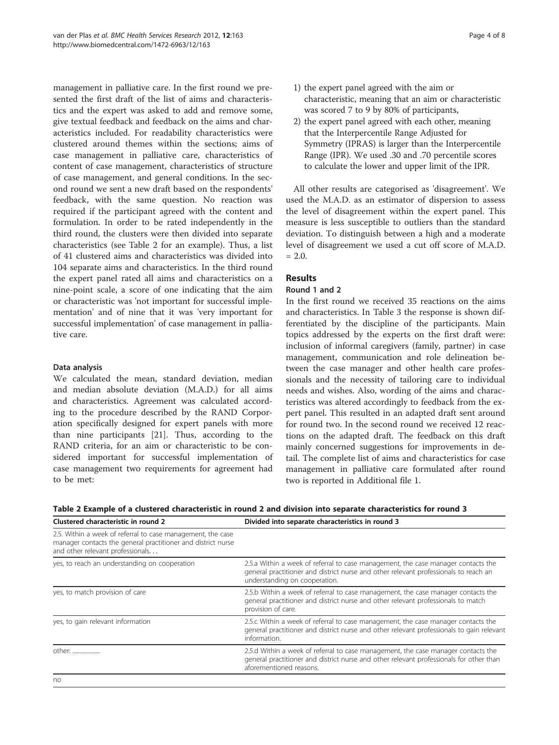management in palliative care. In the first round we presented the first draft of the list of aims and characteristics and the expert was asked to add and remove some, give textual feedback and feedback on the aims and characteristics included. For readability characteristics were clustered around themes within the sections; aims of case management in palliative care, characteristics of content of case management, characteristics of structure of case management, and general conditions. In the second round we sent a new draft based on the respondents' feedback, with the same question. No reaction was required if the participant agreed with the content and formulation. In order to be rated independently in the third round, the clusters were then divided into separate characteristics (see Table 2 for an example). Thus, a list of 41 clustered aims and characteristics was divided into 104 separate aims and characteristics. In the third round the expert panel rated all aims and characteristics on a nine-point scale, a score of one indicating that the aim or characteristic was 'not important for successful implementation' and of nine that it was 'very important for successful implementation' of case management in palliative care.

# Data analysis

We calculated the mean, standard deviation, median and median absolute deviation (M.A.D.) for all aims and characteristics. Agreement was calculated according to the procedure described by the RAND Corporation specifically designed for expert panels with more than nine participants [\[21\]](#page-6-0). Thus, according to the RAND criteria, for an aim or characteristic to be considered important for successful implementation of case management two requirements for agreement had to be met:

- 1) the expert panel agreed with the aim or characteristic, meaning that an aim or characteristic was scored 7 to 9 by 80% of participants,
- 2) the expert panel agreed with each other, meaning that the Interpercentile Range Adjusted for Symmetry (IPRAS) is larger than the Interpercentile Range (IPR). We used .30 and .70 percentile scores to calculate the lower and upper limit of the IPR.

All other results are categorised as 'disagreement'. We used the M.A.D. as an estimator of dispersion to assess the level of disagreement within the expert panel. This measure is less susceptible to outliers than the standard deviation. To distinguish between a high and a moderate level of disagreement we used a cut off score of M.A.D.  $= 2.0.$ 

# Results

# Round 1 and 2

In the first round we received 35 reactions on the aims and characteristics. In Table [3](#page-4-0) the response is shown differentiated by the discipline of the participants. Main topics addressed by the experts on the first draft were: inclusion of informal caregivers (family, partner) in case management, communication and role delineation between the case manager and other health care professionals and the necessity of tailoring care to individual needs and wishes. Also, wording of the aims and characteristics was altered accordingly to feedback from the expert panel. This resulted in an adapted draft sent around for round two. In the second round we received 12 reactions on the adapted draft. The feedback on this draft mainly concerned suggestions for improvements in detail. The complete list of aims and characteristics for case management in palliative care formulated after round two is reported in Additional file [1](#page-6-0).

Table 2 Example of a clustered characteristic in round 2 and division into separate characteristics for round 3

| Clustered characteristic in round 2                                                                                                                             | Divided into separate characteristics in round 3                                                                                                                                                           |  |  |
|-----------------------------------------------------------------------------------------------------------------------------------------------------------------|------------------------------------------------------------------------------------------------------------------------------------------------------------------------------------------------------------|--|--|
| 2.5. Within a week of referral to case management, the case<br>manager contacts the general practitioner and district nurse<br>and other relevant professionals |                                                                                                                                                                                                            |  |  |
| yes, to reach an understanding on cooperation                                                                                                                   | 2.5.a Within a week of referral to case management, the case manager contacts the<br>general practitioner and district nurse and other relevant professionals to reach an<br>understanding on cooperation. |  |  |
| yes, to match provision of care                                                                                                                                 | 2.5.b Within a week of referral to case management, the case manager contacts the<br>general practitioner and district nurse and other relevant professionals to match<br>provision of care.               |  |  |
| yes, to gain relevant information                                                                                                                               | 2.5.c Within a week of referral to case management, the case manager contacts the<br>general practitioner and district nurse and other relevant professionals to gain relevant<br>information.             |  |  |
| other:                                                                                                                                                          | 2.5.d Within a week of referral to case management, the case manager contacts the<br>general practitioner and district nurse and other relevant professionals for other than<br>aforementioned reasons.    |  |  |
| n <sub>O</sub>                                                                                                                                                  |                                                                                                                                                                                                            |  |  |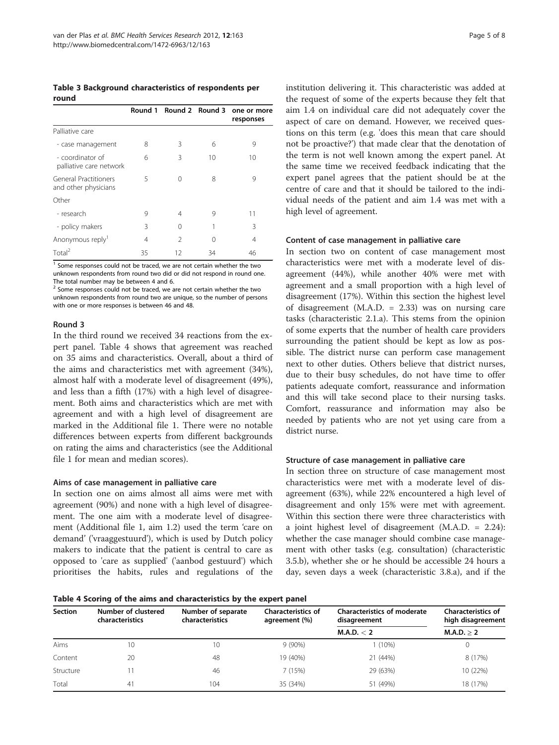<span id="page-4-0"></span>Table 3 Background characteristics of respondents per round

|                                               | Round 1 | Round 2 Round 3 |    | one or more<br>responses |
|-----------------------------------------------|---------|-----------------|----|--------------------------|
| Palliative care                               |         |                 |    |                          |
| - case management                             | 8       | 3               | 6  | 9                        |
| - coordinator of<br>palliative care network   | 6       | 3               | 10 | 10                       |
| General Practitioners<br>and other physicians | 5       | 0               | 8  | 9                        |
| Other                                         |         |                 |    |                          |
| - research                                    | 9       | $\overline{4}$  | 9  | 11                       |
| - policy makers                               | 3       | Ω               | 1  | 3                        |
| Anonymous reply <sup>1</sup>                  | 4       | 2               | Λ  | 4                        |
| Total <sup>2</sup>                            | 35      | 12              | 34 | 46                       |

<sup>1</sup> Some responses could not be traced, we are not certain whether the two unknown respondents from round two did or did not respond in round one. The total number may be between 4 and 6.

<sup>2</sup> Some responses could not be traced, we are not certain whether the two unknown respondents from round two are unique, so the number of persons with one or more responses is between 46 and 48.

#### Round 3

In the third round we received 34 reactions from the expert panel. Table 4 shows that agreement was reached on 35 aims and characteristics. Overall, about a third of the aims and characteristics met with agreement (34%), almost half with a moderate level of disagreement (49%), and less than a fifth (17%) with a high level of disagreement. Both aims and characteristics which are met with agreement and with a high level of disagreement are marked in the Additional file [1](#page-6-0). There were no notable differences between experts from different backgrounds on rating the aims and characteristics (see the Additional file [1](#page-6-0) for mean and median scores).

#### Aims of case management in palliative care

In section one on aims almost all aims were met with agreement (90%) and none with a high level of disagreement. The one aim with a moderate level of disagreement (Additional file [1](#page-6-0), aim 1.2) used the term 'care on demand' ('vraaggestuurd'), which is used by Dutch policy makers to indicate that the patient is central to care as opposed to 'care as supplied' ('aanbod gestuurd') which prioritises the habits, rules and regulations of the institution delivering it. This characteristic was added at the request of some of the experts because they felt that aim 1.4 on individual care did not adequately cover the aspect of care on demand. However, we received questions on this term (e.g. 'does this mean that care should not be proactive?') that made clear that the denotation of the term is not well known among the expert panel. At the same time we received feedback indicating that the expert panel agrees that the patient should be at the centre of care and that it should be tailored to the individual needs of the patient and aim 1.4 was met with a high level of agreement.

#### Content of case management in palliative care

In section two on content of case management most characteristics were met with a moderate level of disagreement (44%), while another 40% were met with agreement and a small proportion with a high level of disagreement (17%). Within this section the highest level of disagreement (M.A.D. = 2.33) was on nursing care tasks (characteristic 2.1.a). This stems from the opinion of some experts that the number of health care providers surrounding the patient should be kept as low as possible. The district nurse can perform case management next to other duties. Others believe that district nurses, due to their busy schedules, do not have time to offer patients adequate comfort, reassurance and information and this will take second place to their nursing tasks. Comfort, reassurance and information may also be needed by patients who are not yet using care from a district nurse.

#### Structure of case management in palliative care

In section three on structure of case management most characteristics were met with a moderate level of disagreement (63%), while 22% encountered a high level of disagreement and only 15% were met with agreement. Within this section there were three characteristics with a joint highest level of disagreement (M.A.D. = 2.24): whether the case manager should combine case management with other tasks (e.g. consultation) (characteristic 3.5.b), whether she or he should be accessible 24 hours a day, seven days a week (characteristic 3.8.a), and if the

Table 4 Scoring of the aims and characteristics by the expert panel

| <b>Section</b> | Number of clustered<br>characteristics | Number of separate<br>characteristics | <b>Characteristics of</b><br>agreement (%) | <b>Characteristics of moderate</b><br>disagreement | <b>Characteristics of</b><br>high disagreement |
|----------------|----------------------------------------|---------------------------------------|--------------------------------------------|----------------------------------------------------|------------------------------------------------|
|                |                                        |                                       |                                            | M.A.D. < 2                                         | M.A.D. > 2                                     |
| Aims           | 10                                     | 10                                    | $9(90\%)$                                  | 1 (10%)                                            |                                                |
| Content        | 20                                     | 48                                    | 19 (40%)                                   | 21 (44%)                                           | 8 (17%)                                        |
| Structure      |                                        | 46                                    | 7(15%)                                     | 29 (63%)                                           | 10 (22%)                                       |
| Total          | 41                                     | 104                                   | 35 (34%)                                   | 51 (49%)                                           | 18 (17%)                                       |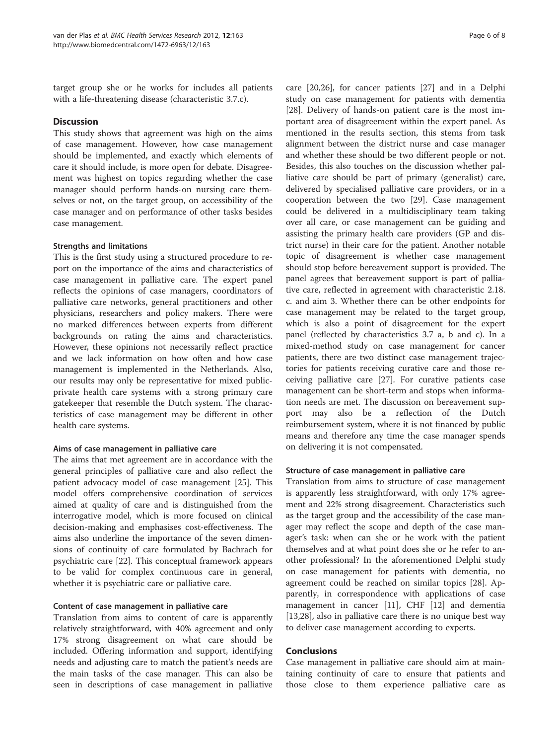target group she or he works for includes all patients with a life-threatening disease (characteristic 3.7.c).

# **Discussion**

This study shows that agreement was high on the aims of case management. However, how case management should be implemented, and exactly which elements of care it should include, is more open for debate. Disagreement was highest on topics regarding whether the case manager should perform hands-on nursing care themselves or not, on the target group, on accessibility of the case manager and on performance of other tasks besides case management.

### Strengths and limitations

This is the first study using a structured procedure to report on the importance of the aims and characteristics of case management in palliative care. The expert panel reflects the opinions of case managers, coordinators of palliative care networks, general practitioners and other physicians, researchers and policy makers. There were no marked differences between experts from different backgrounds on rating the aims and characteristics. However, these opinions not necessarily reflect practice and we lack information on how often and how case management is implemented in the Netherlands. Also, our results may only be representative for mixed publicprivate health care systems with a strong primary care gatekeeper that resemble the Dutch system. The characteristics of case management may be different in other health care systems.

#### Aims of case management in palliative care

The aims that met agreement are in accordance with the general principles of palliative care and also reflect the patient advocacy model of case management [\[25\]](#page-6-0). This model offers comprehensive coordination of services aimed at quality of care and is distinguished from the interrogative model, which is more focused on clinical decision-making and emphasises cost-effectiveness. The aims also underline the importance of the seven dimensions of continuity of care formulated by Bachrach for psychiatric care [\[22](#page-6-0)]. This conceptual framework appears to be valid for complex continuous care in general, whether it is psychiatric care or palliative care.

#### Content of case management in palliative care

Translation from aims to content of care is apparently relatively straightforward, with 40% agreement and only 17% strong disagreement on what care should be included. Offering information and support, identifying needs and adjusting care to match the patient's needs are the main tasks of the case manager. This can also be seen in descriptions of case management in palliative

care [[20,26](#page-6-0)], for cancer patients [[27](#page-6-0)] and in a Delphi study on case management for patients with dementia [[28\]](#page-7-0). Delivery of hands-on patient care is the most important area of disagreement within the expert panel. As mentioned in the results section, this stems from task alignment between the district nurse and case manager and whether these should be two different people or not. Besides, this also touches on the discussion whether palliative care should be part of primary (generalist) care, delivered by specialised palliative care providers, or in a cooperation between the two [[29](#page-7-0)]. Case management could be delivered in a multidisciplinary team taking over all care, or case management can be guiding and assisting the primary health care providers (GP and district nurse) in their care for the patient. Another notable topic of disagreement is whether case management should stop before bereavement support is provided. The panel agrees that bereavement support is part of palliative care, reflected in agreement with characteristic 2.18. c. and aim 3. Whether there can be other endpoints for case management may be related to the target group, which is also a point of disagreement for the expert panel (reflected by characteristics 3.7 a, b and c). In a mixed-method study on case management for cancer patients, there are two distinct case management trajectories for patients receiving curative care and those receiving palliative care [\[27\]](#page-6-0). For curative patients case management can be short-term and stops when information needs are met. The discussion on bereavement support may also be a reflection of the Dutch reimbursement system, where it is not financed by public means and therefore any time the case manager spends on delivering it is not compensated.

### Structure of case management in palliative care

Translation from aims to structure of case management is apparently less straightforward, with only 17% agreement and 22% strong disagreement. Characteristics such as the target group and the accessibility of the case manager may reflect the scope and depth of the case manager's task: when can she or he work with the patient themselves and at what point does she or he refer to another professional? In the aforementioned Delphi study on case management for patients with dementia, no agreement could be reached on similar topics [[28\]](#page-7-0). Apparently, in correspondence with applications of case management in cancer [\[11](#page-6-0)], CHF [\[12](#page-6-0)] and dementia [[13,](#page-6-0)[28\]](#page-7-0), also in palliative care there is no unique best way to deliver case management according to experts.

#### Conclusions

Case management in palliative care should aim at maintaining continuity of care to ensure that patients and those close to them experience palliative care as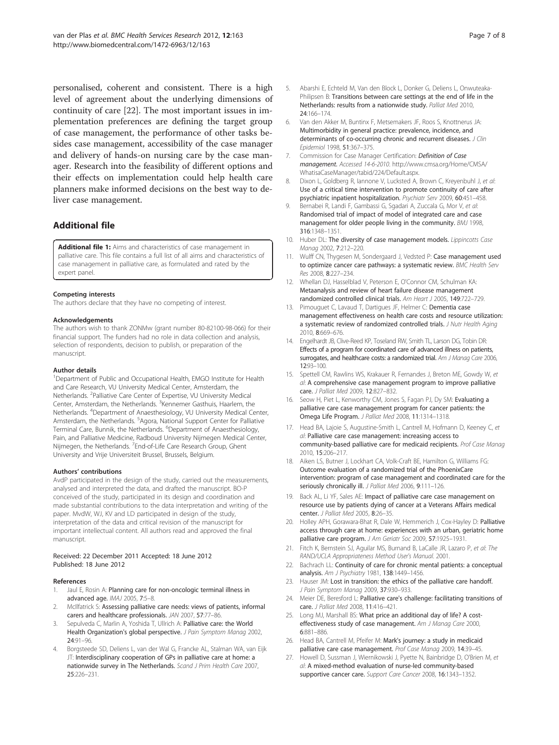<span id="page-6-0"></span>personalised, coherent and consistent. There is a high level of agreement about the underlying dimensions of continuity of care [22]. The most important issues in implementation preferences are defining the target group of case management, the performance of other tasks besides case management, accessibility of the case manager and delivery of hands-on nursing care by the case manager. Research into the feasibility of different options and their effects on implementation could help health care planners make informed decisions on the best way to deliver case management.

# Additional file

[Additional file 1:](http://www.biomedcentral.com/content/supplementary/1472-6963-12-163-S1.pdf) Aims and characteristics of case management in palliative care. This file contains a full list of all aims and characteristics of case management in palliative care, as formulated and rated by the expert panel.

#### Competing interests

The authors declare that they have no competing of interest.

#### Acknowledgements

The authors wish to thank ZONMw (grant number 80-82100-98-066) for their financial support. The funders had no role in data collection and analysis, selection of respondents, decision to publish, or preparation of the manuscript.

#### Author details

<sup>1</sup>Department of Public and Occupational Health, EMGO Institute for Health and Care Research, VU University Medical Center, Amsterdam, the Netherlands. <sup>2</sup>Palliative Care Center of Expertise, VU University Medical Center, Amsterdam, the Netherlands. <sup>3</sup>Kennemer Gasthuis, Haarlem, the Netherlands. <sup>4</sup>Department of Anaesthesiology, VU University Medical Center, Amsterdam, the Netherlands. <sup>5</sup>Agora, National Support Center for Palliative Terminal Care, Bunnik, the Netherlands. <sup>6</sup>Department of Anaesthesiology, Pain, and Palliative Medicine, Radboud University Nijmegen Medical Center, Nijmegen, the Netherlands. <sup>7</sup> End-of-Life Care Research Group, Ghent University and Vrije Universiteit Brussel, Brussels, Belgium.

#### Authors' contributions

AvdP participated in the design of the study, carried out the measurements, analysed and interpreted the data, and drafted the manuscript. BO-P conceived of the study, participated in its design and coordination and made substantial contributions to the data interpretation and writing of the paper. MvdW, WJ, KV and LD participated in design of the study, interpretation of the data and critical revision of the manuscript for important intellectual content. All authors read and approved the final manuscript.

#### Received: 22 December 2011 Accepted: 18 June 2012 Published: 18 June 2012

#### References

- Jaul E, Rosin A: Planning care for non-oncologic terminal illness in advanced age. IMAJ 2005, 7:5–8.
- 2. McIlfatrick S: Assessing palliative care needs: views of patients, informal carers and healthcare professionals. JAN 2007, 57:77–86.
- Sepulveda C, Marlin A, Yoshida T, Ullrich A: Palliative care: the World Health Organization's global perspective. J Pain Symptom Manag 2002, 24:91–96.
- 4. Borgsteede SD, Deliens L, van der Wal G, Francke AL, Stalman WA, van Eijk JT: Interdisciplinary cooperation of GPs in palliative care at home: a nationwide survey in The Netherlands. Scand J Prim Health Care 2007, 25:226–231.
- 5. Abarshi E, Echteld M, Van den Block L, Donker G, Deliens L, Onwuteaka-Philipsen B: Transitions between care settings at the end of life in the Netherlands: results from a nationwide study. Palliat Med 2010, 24:166–174.
- 6. Van den Akker M, Buntinx F, Metsemakers JF, Roos S, Knottnerus JA: Multimorbidity in general practice: prevalence, incidence, and determinants of co-occurring chronic and recurrent diseases. J Clin Epidemiol 1998, 51:367–375.
- 7. Commission for Case Manager Certification: Definition of Case management. Accessed 14-6-2010. [http://www.cmsa.org/Home/CMSA/](http://www.cmsa.org/Home/CMSA/WhatisaCaseManager/tabid/224/Default.aspx) [WhatisaCaseManager/tabid/224/Default.aspx.](http://www.cmsa.org/Home/CMSA/WhatisaCaseManager/tabid/224/Default.aspx)
- 8. Dixon L, Goldberg R, Iannone V, Lucksted A, Brown C, Kreyenbuhl J, et al: Use of a critical time intervention to promote continuity of care after psychiatric inpatient hospitalization. Psychiatr Serv 2009, 60:451–458.
- 9. Bernabei R, Landi F, Gambassi G, Sgadari A, Zuccala G, Mor V, et al: Randomised trial of impact of model of integrated care and case management for older people living in the community. BMJ 1998, 316:1348–1351.
- 10. Huber DL: The diversity of case management models. Lippincotts Case Manag 2002, 7:212-220
- 11. Wulff CN, Thygesen M, Sondergaard J, Vedsted P: Case management used to optimize cancer care pathways: a systematic review. BMC Health Serv Res 2008, 8:227–234.
- 12. Whellan DJ, Hasselblad V, Peterson E, O'Connor CM, Schulman KA: Metaanalysis and review of heart failure disease management randomized controlled clinical trials. Am Heart J 2005, 149:722-729.
- 13. Pimouguet C, Lavaud T, Dartigues JF, Helmer C: Dementia case management effectiveness on health care costs and resource utilization: a systematic review of randomized controlled trials. J Nutr Health Aging 2010, 8:669–676.
- 14. Engelhardt JB, Clive-Reed KP, Toseland RW, Smith TL, Larson DG, Tobin DR: Effects of a program for coordinated care of advanced illness on patients, surrogates, and healthcare costs: a randomized trial. Am J Manag Care 2006, 12:93–100.
- 15. Spettell CM, Rawlins WS, Krakauer R, Fernandes J, Breton ME, Gowdy W, et al: A comprehensive case management program to improve palliative care. J Palliat Med 2009, 12:827–832.
- 16. Seow H, Piet L, Kenworthy CM, Jones S, Fagan PJ, Dy SM: Evaluating a palliative care case management program for cancer patients: the Omega Life Program. J Palliat Med 2008, 11:1314–1318.
- 17. Head BA, Lajoie S, Augustine-Smith L, Cantrell M, Hofmann D, Keeney C, et al: Palliative care case management: increasing access to community-based palliative care for medicaid recipients. Prof Case Manag 2010, 15:206–217.
- 18. Aiken LS, Butner J, Lockhart CA, Volk-Craft BE, Hamilton G, Williams FG: Outcome evaluation of a randomized trial of the PhoenixCare intervention: program of case management and coordinated care for the seriously chronically ill. J Palliat Med 2006, 9:111-126.
- 19. Back AL, Li YF, Sales AE: Impact of palliative care case management on resource use by patients dying of cancer at a Veterans Affairs medical center. J Palliat Med 2005, 8:26-35.
- 20. Holley APH, Gorawara-Bhat R, Dale W, Hemmerich J, Cox-Hayley D: Palliative access through care at home: experiences with an urban, geriatric home palliative care program. J Am Geriatr Soc 2009, 57:1925-1931.
- 21. Fitch K, Bernstein SJ, Aguilar MS, Burnand B, LaCalle JR, Lazaro P, et al: The RAND/UCLA Appropriateness Method User's Manual. 2001.
- 22. Bachrach LL: Continuity of care for chronic mental patients: a conceptual analysis. Am J Psychiatry 1981, 138:1449–1456.
- 23. Hauser JM: Lost in transition: the ethics of the palliative care handoff. J Pain Symptom Manag 2009, 37:930-933.
- 24. Meier DE, Beresford L: Palliative care's challenge: facilitating transitions of care. J Palliat Med 2008, 11:416–421.
- 25. Long MJ, Marshall BS: What price an additional day of life? A costeffectiveness study of case management. Am J Manag Care 2000, 6:881–886.
- 26. Head BA, Cantrell M, Pfeifer M: Mark's journey: a study in medicaid palliative care case management. Prof Case Manag 2009, 14:39–45.
- 27. Howell D, Sussman J, Wiernikowski J, Pyette N, Bainbridge D, O'Brien M, et al: A mixed-method evaluation of nurse-led community-based supportive cancer care. Support Care Cancer 2008, 16:1343-1352.